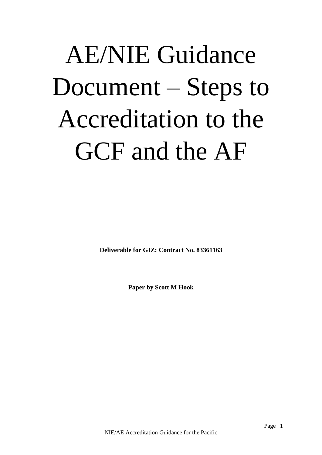# AE/NIE Guidance Document – Steps to Accreditation to the GCF and the AF

**Deliverable for GIZ: Contract No. 83361163**

**Paper by Scott M Hook**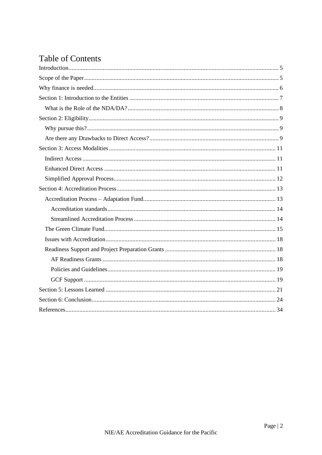## Table of Contents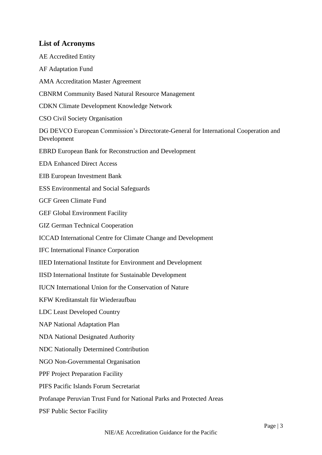#### **List of Acronyms**

AE Accredited Entity AF Adaptation Fund AMA Accreditation Master Agreement CBNRM Community Based Natural Resource Management CDKN Climate Development Knowledge Network CSO Civil Society Organisation DG DEVCO European Commission's Directorate-General for International Cooperation and Development EBRD European Bank for Reconstruction and Development EDA Enhanced Direct Access EIB European Investment Bank ESS Environmental and Social Safeguards GCF Green Climate Fund GEF Global Environment Facility GIZ German Technical Cooperation ICCAD International Centre for Climate Change and Development IFC International Finance Corporation IIED International Institute for Environment and Development IISD International Institute for Sustainable Development IUCN International Union for the Conservation of Nature KFW Kreditanstalt für Wiederaufbau LDC Least Developed Country NAP National Adaptation Plan NDA National Designated Authority NDC Nationally Determined Contribution NGO Non-Governmental Organisation PPF Project Preparation Facility PIFS Pacific Islands Forum Secretariat Profanape Peruvian Trust Fund for National Parks and Protected Areas PSF Public Sector Facility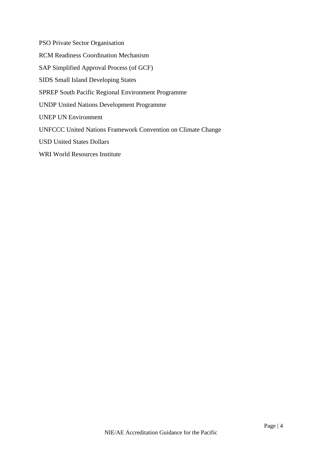PSO Private Sector Organisation RCM Readiness Coordination Mechanism SAP Simplified Approval Process (of GCF) SIDS Small Island Developing States SPREP South Pacific Regional Environment Programme UNDP United Nations Development Programme UNEP UN Environment UNFCCC United Nations Framework Convention on Climate Change

USD United States Dollars

WRI World Resources Institute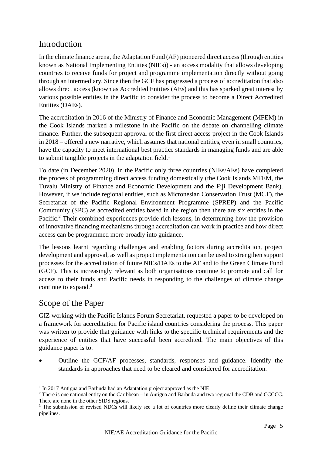## <span id="page-4-0"></span>Introduction

In the climate finance arena, the Adaptation Fund (AF) pioneered direct access (through entities known as National Implementing Entities (NIEs)) - an access modality that allows developing countries to receive funds for project and programme implementation directly without going through an intermediary. Since then the GCF has progressed a process of accreditation that also allows direct access (known as Accredited Entities (AEs) and this has sparked great interest by various possible entities in the Pacific to consider the process to become a Direct Accredited Entities (DAEs).

The accreditation in 2016 of the Ministry of Finance and Economic Management (MFEM) in the Cook Islands marked a milestone in the Pacific on the debate on channelling climate finance. Further, the subsequent approval of the first direct access project in the Cook Islands in 2018 – offered a new narrative, which assumes that national entities, even in small countries, have the capacity to meet international best practice standards in managing funds and are able to submit tangible projects in the adaptation field.<sup>1</sup>

To date (in December 2020), in the Pacific only three countries (NIEs/AEs) have completed the process of programming direct access funding domestically (the Cook Islands MFEM, the Tuvalu Ministry of Finance and Economic Development and the Fiji Development Bank). However, if we include regional entities, such as Micronesian Conservation Trust (MCT), the Secretariat of the Pacific Regional Environment Programme (SPREP) and the Pacific Community (SPC) as accredited entities based in the region then there are six entities in the Pacific.<sup>2</sup> Their combined experiences provide rich lessons, in determining how the provision of innovative financing mechanisms through accreditation can work in practice and how direct access can be programmed more broadly into guidance.

The lessons learnt regarding challenges and enabling factors during accreditation, project development and approval, as well as project implementation can be used to strengthen support processes for the accreditation of future NIEs/DAEs to the AF and to the Green Climate Fund (GCF). This is increasingly relevant as both organisations continue to promote and call for access to their funds and Pacific needs in responding to the challenges of climate change continue to expand.<sup>3</sup>

## <span id="page-4-1"></span>Scope of the Paper

GIZ working with the Pacific Islands Forum Secretariat, requested a paper to be developed on a framework for accreditation for Pacific island countries considering the process. This paper was written to provide that guidance with links to the specific technical requirements and the experience of entities that have successful been accredited. The main objectives of this guidance paper is to:

• Outline the GCF/AF processes, standards, responses and guidance. Identify the standards in approaches that need to be cleared and considered for accreditation.

<sup>&</sup>lt;sup>1</sup> In 2017 Antigua and Barbuda had an Adaptation project approved as the NIE.

<sup>&</sup>lt;sup>2</sup> There is one national entity on the Caribbean – in Antigua and Barbuda and two regional the CDB and CCCCC. There are none in the other SIDS regions.

<sup>&</sup>lt;sup>3</sup> The submission of revised NDCs will likely see a lot of countries more clearly define their climate change pipelines.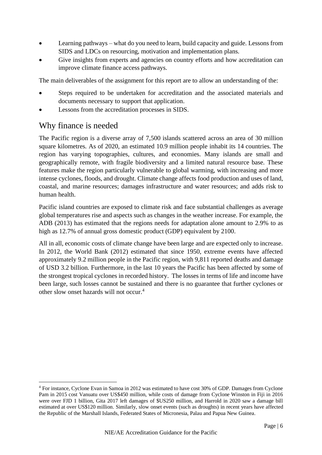- Learning pathways what do you need to learn, build capacity and guide. Lessons from SIDS and LDCs on resourcing, motivation and implementation plans.
- Give insights from experts and agencies on country efforts and how accreditation can improve climate finance access pathways.

The main deliverables of the assignment for this report are to allow an understanding of the:

- Steps required to be undertaken for accreditation and the associated materials and documents necessary to support that application.
- Lessons from the accreditation processes in SIDS.

## <span id="page-5-0"></span>Why finance is needed

The Pacific region is a diverse array of 7,500 islands scattered across an area of 30 million square kilometres. As of 2020, an estimated 10.9 million people inhabit its 14 countries. The region has varying topographies, cultures, and economies. Many islands are small and geographically remote, with fragile biodiversity and a limited natural resource base. These features make the region particularly vulnerable to global warming, with increasing and more intense cyclones, floods, and drought. Climate change affects food production and uses of land, coastal, and marine resources; damages infrastructure and water resources; and adds risk to human health.

Pacific island countries are exposed to climate risk and face substantial challenges as average global temperatures rise and aspects such as changes in the weather increase. For example, the ADB (2013) has estimated that the regions needs for adaptation alone amount to 2.9% to as high as 12.7% of annual gross domestic product (GDP) equivalent by 2100.

All in all, economic costs of climate change have been large and are expected only to increase. In 2012, the World Bank (2012) estimated that since 1950, extreme events have affected approximately 9.2 million people in the Pacific region, with 9,811 reported deaths and damage of USD 3.2 billion. Furthermore, in the last 10 years the Pacific has been affected by some of the strongest tropical cyclones in recorded history. The losses in terms of life and income have been large, such losses cannot be sustained and there is no guarantee that further cyclones or other slow onset hazards will not occur.<sup>4</sup>

<sup>4</sup> For instance, Cyclone Evan in Samoa in 2012 was estimated to have cost 30% of GDP. Damages from Cyclone Pam in 2015 cost Vanuatu over US\$450 million, while costs of damage from Cyclone Winston in Fiji in 2016 were over FJD 1 billion, Gita 2017 left damages of \$US250 million, and Harrold in 2020 saw a damage bill estimated at over US\$120 million. Similarly, slow onset events (such as droughts) in recent years have affected the Republic of the Marshall Islands, Federated States of Micronesia, Palau and Papua New Guinea.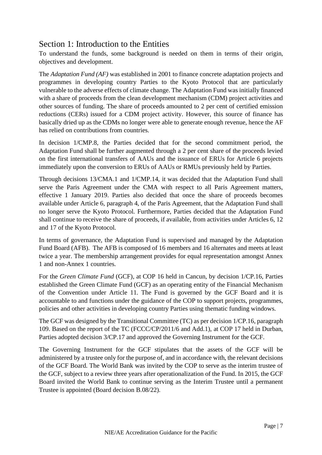## <span id="page-6-0"></span>Section 1: Introduction to the Entities

To understand the funds, some background is needed on them in terms of their origin, objectives and development.

The *Adaptation Fund (AF)* was established in 2001 to finance concrete adaptation projects and programmes in developing country Parties to the Kyoto Protocol that are particularly vulnerable to the adverse effects of climate change. The Adaptation Fund was initially financed with a share of proceeds from the clean development mechanism (CDM) project activities and other sources of funding. The share of proceeds amounted to 2 per cent of certified emission reductions (CERs) issued for a CDM project activity. However, this source of finance has basically dried up as the CDMs no longer were able to generate enough revenue, hence the AF has relied on contributions from countries.

In decision 1/CMP.8, the Parties decided that for the second commitment period, the Adaptation Fund shall be further augmented through a 2 per cent share of the proceeds levied on the first international transfers of AAUs and the issuance of ERUs for Article 6 projects immediately upon the conversion to ERUs of AAUs or RMUs previously held by Parties.

Through decisions 13/CMA.1 and 1/CMP.14, it was decided that the Adaptation Fund shall serve the Paris Agreement under the CMA with respect to all Paris Agreement matters, effective 1 January 2019. Parties also decided that once the share of proceeds becomes available under Article 6, paragraph 4, of the Paris Agreement, that the Adaptation Fund shall no longer serve the Kyoto Protocol. Furthermore, Parties decided that the Adaptation Fund shall continue to receive the share of proceeds, if available, from activities under Articles 6, 12 and 17 of the Kyoto Protocol.

In terms of governance, the Adaptation Fund is supervised and managed by the Adaptation Fund Board (AFB). The AFB is composed of 16 members and 16 alternates and meets at least twice a year. The membership arrangement provides for equal representation amongst Annex 1 and non-Annex 1 countries.

For the *Green Climate Fund* (GCF), at COP 16 held in Cancun, by decision 1/CP.16, Parties established the Green Climate Fund (GCF) as an operating entity of the Financial Mechanism of the Convention under Article 11. The Fund is governed by the GCF Board and it is accountable to and functions under the guidance of the COP to support projects, programmes, policies and other activities in developing country Parties using thematic funding windows.

The GCF was designed by the Transitional Committee (TC) as per decision 1/CP.16, paragraph 109. Based on the report of the TC (FCCC/CP/2011/6 and Add.1), at COP 17 held in Durban, Parties adopted decision 3/CP.17 and approved the Governing Instrument for the GCF.

The Governing Instrument for the GCF stipulates that the assets of the GCF will be administered by a trustee only for the purpose of, and in accordance with, the relevant decisions of the GCF Board. The World Bank was invited by the COP to serve as the interim trustee of the GCF, subject to a review three years after operationalization of the Fund. In 2015, the GCF Board invited the World Bank to continue serving as the Interim Trustee until a permanent Trustee is appointed (Board decision B.08/22).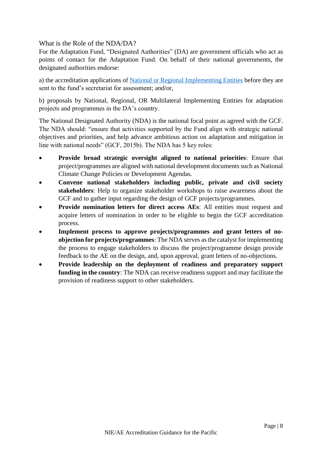<span id="page-7-0"></span>What is the Role of the NDA/DA?

For the Adaptation Fund, "Designated Authorities" (DA) are government officials who act as points of contact for the Adaptation Fund. On behalf of their national governments, the designated authorities endorse:

a) the accreditation applications of [National or Regional Implementing Entities](https://www.adaptation-fund.org/apply-funding/implementing-entities/) before they are sent to the fund's secretariat for assessment; and/or,

b) proposals by National, Regional, OR Multilateral Implementing Entities for adaptation projects and programmes in the DA's country.

The National Designated Authority (NDA) is the national focal point as agreed with the GCF. The NDA should: "ensure that activities supported by the Fund align with strategic national objectives and priorities, and help advance ambitious action on adaptation and mitigation in line with national needs" (GCF, 2015b). The NDA has 5 key roles:

- **Provide broad strategic oversight aligned to national priorities**: Ensure that project/programmes are aligned with national development documents such as National Climate Change Policies or Development Agendas.
- **Convene national stakeholders including public, private and civil society stakeholders**: Help to organize stakeholder workshops to raise awareness about the GCF and to gather input regarding the design of GCF projects/programmes.
- **Provide nomination letters for direct access AEs**: All entities must request and acquire letters of nomination in order to be eligible to begin the GCF accreditation process.
- **Implement process to approve projects/programmes and grant letters of noobjection for projects/programmes**: The NDA serves as the catalyst for implementing the process to engage stakeholders to discuss the project/programme design provide feedback to the AE on the design, and, upon approval, grant letters of no-objections.
- **Provide leadership on the deployment of readiness and preparatory support funding in the country**: The NDA can receive readiness support and may facilitate the provision of readiness support to other stakeholders.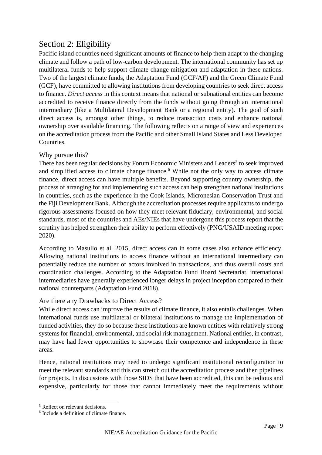## <span id="page-8-0"></span>Section 2: Eligibility

Pacific island countries need significant amounts of finance to help them adapt to the changing climate and follow a path of low-carbon development. The international community has set up multilateral funds to help support climate change mitigation and adaptation in these nations. Two of the largest climate funds, the Adaptation Fund (GCF/AF) and the Green Climate Fund (GCF), have committed to allowing institutions from developing countries to seek direct access to finance. *Direct access* in this context means that national or subnational entities can become accredited to receive finance directly from the funds without going through an international intermediary (like a Multilateral Development Bank or a regional entity). The goal of such direct access is, amongst other things, to reduce transaction costs and enhance national ownership over available financing. The following reflects on a range of view and experiences on the accreditation process from the Pacific and other Small Island States and Less Developed Countries.

#### <span id="page-8-1"></span>Why pursue this?

There has been regular decisions by Forum Economic Ministers and Leaders<sup>5</sup> to seek improved and simplified access to climate change finance.<sup>6</sup> While not the only way to access climate finance, direct access can have multiple benefits. Beyond supporting country ownership, the process of arranging for and implementing such access can help strengthen national institutions in countries, such as the experience in the Cook Islands, Micronesian Conservation Trust and the Fiji Development Bank. Although the accreditation processes require applicants to undergo rigorous assessments focused on how they meet relevant fiduciary, environmental, and social standards, most of the countries and AEs/NIEs that have undergone this process report that the scrutiny has helped strengthen their ability to perform effectively (PNG/USAID meeting report 2020).

According to Masullo et al. 2015, direct access can in some cases also enhance efficiency. Allowing national institutions to access finance without an international intermediary can potentially reduce the number of actors involved in transactions, and thus overall costs and coordination challenges. According to the Adaptation Fund Board Secretariat, international intermediaries have generally experienced longer delays in project inception compared to their national counterparts (Adaptation Fund 2018).

#### <span id="page-8-2"></span>Are there any Drawbacks to Direct Access?

While direct access can improve the results of climate finance, it also entails challenges. When international funds use multilateral or bilateral institutions to manage the implementation of funded activities, they do so because these institutions are known entities with relatively strong systems for financial, environmental, and social risk management. National entities, in contrast, may have had fewer opportunities to showcase their competence and independence in these areas.

Hence, national institutions may need to undergo significant institutional reconfiguration to meet the relevant standards and this can stretch out the accreditation process and then pipelines for projects. In discussions with those SIDS that have been accredited, this can be tedious and expensive, particularly for those that cannot immediately meet the requirements without

<sup>&</sup>lt;sup>5</sup> Reflect on relevant decisions.

<sup>6</sup> Include a definition of climate finance.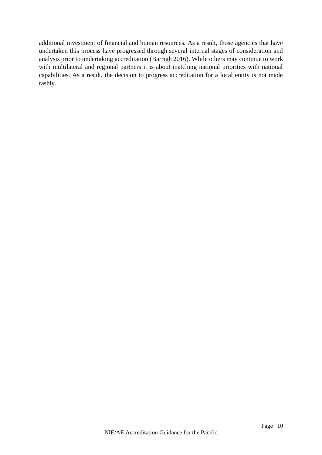additional investment of financial and human resources. As a result, those agencies that have undertaken this process have progressed through several internal stages of consideration and analysis prior to undertaking accreditation (Barrigh 2016). While others may continue to work with multilateral and regional partners it is about matching national priorities with national capabilities. As a result, the decision to progress accreditation for a local entity is not made rashly.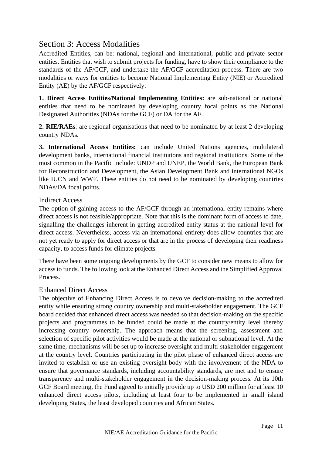## <span id="page-10-0"></span>Section 3: Access Modalities

Accredited Entities, can be: national, regional and international, public and private sector entities. Entities that wish to submit projects for funding, have to show their compliance to the standards of the AF/GCF, and undertake the AF/GCF accreditation process. There are two modalities or ways for entities to become National Implementing Entity (NIE) or Accredited Entity (AE) by the AF/GCF respectively:

**1. Direct Access Entities/National Implementing Entities:** are sub-national or national entities that need to be nominated by developing country focal points as the National Designated Authorities (NDAs for the GCF) or DA for the AF.

**2. RIE/RAEs**: are regional organisations that need to be nominated by at least 2 developing country NDAs.

**3. International Access Entities:** can include United Nations agencies, multilateral development banks, international financial institutions and regional institutions. Some of the most common in the Pacific include: UNDP and UNEP, the World Bank, the European Bank for Reconstruction and Development, the Asian Development Bank and international NGOs like IUCN and WWF. These entities do not need to be nominated by developing countries NDAs/DA focal points.

#### <span id="page-10-1"></span>Indirect Access

The option of gaining access to the AF/GCF through an international entity remains where direct access is not feasible/appropriate. Note that this is the dominant form of access to date, signalling the challenges inherent in getting accredited entity status at the national level for direct access. Nevertheless, access via an international entirety does allow countries that are not yet ready to apply for direct access or that are in the process of developing their readiness capacity, to access funds for climate projects.

There have been some ongoing developments by the GCF to consider new means to allow for access to funds. The following look at the Enhanced Direct Access and the Simplified Approval Process.

#### <span id="page-10-2"></span>Enhanced Direct Access

The objective of Enhancing Direct Access is to devolve decision-making to the accredited entity while ensuring strong country ownership and multi-stakeholder engagement. The GCF board decided that enhanced direct access was needed so that decision-making on the specific projects and programmes to be funded could be made at the country/entity level thereby increasing country ownership. The approach means that the screening, assessment and selection of specific pilot activities would be made at the national or subnational level. At the same time, mechanisms will be set up to increase oversight and multi-stakeholder engagement at the country level. Countries participating in the pilot phase of enhanced direct access are invited to establish or use an existing oversight body with the involvement of the NDA to ensure that governance standards, including accountability standards, are met and to ensure transparency and multi-stakeholder engagement in the decision-making process. At its 10th GCF Board meeting, the Fund agreed to initially provide up to USD 200 million for at least 10 enhanced direct access pilots, including at least four to be implemented in small island developing States, the least developed countries and African States.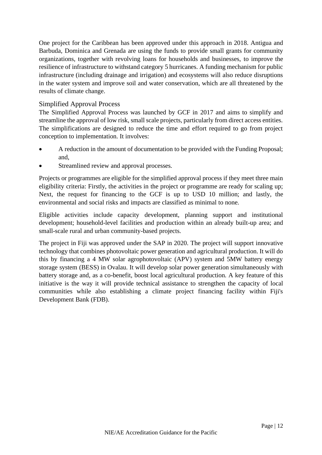One project for the Caribbean has been approved under this approach in 2018. Antigua and Barbuda, Dominica and Grenada are using the funds to provide small grants for community organizations, together with revolving loans for households and businesses, to improve the resilience of infrastructure to withstand category 5 hurricanes. A funding mechanism for public infrastructure (including drainage and irrigation) and ecosystems will also reduce disruptions in the water system and improve soil and water conservation, which are all threatened by the results of climate change.

#### <span id="page-11-0"></span>Simplified Approval Process

The Simplified Approval Process was launched by GCF in 2017 and aims to simplify and streamline the approval of low risk, small scale projects, particularly from direct access entities. The simplifications are designed to reduce the time and effort required to go from project conception to implementation. It involves:

- A reduction in the amount of documentation to be provided with the Funding Proposal; and,
- Streamlined review and approval processes.

Projects or programmes are eligible for the simplified approval process if they meet three main eligibility criteria: Firstly, the activities in the project or programme are ready for scaling up; Next, the request for financing to the GCF is up to USD 10 million; and lastly, the environmental and social risks and impacts are classified as minimal to none.

Eligible activities include capacity development, planning support and institutional development; household-level facilities and production within an already built-up area; and small-scale rural and urban community-based projects.

The project in Fiji was approved under the SAP in 2020. The project will support innovative technology that combines photovoltaic power generation and agricultural production. It will do this by financing a 4 MW solar agrophotovoltaic (APV) system and 5MW battery energy storage system (BESS) in Ovalau. It will develop solar power generation simultaneously with battery storage and, as a co-benefit, boost local agricultural production. A key feature of this initiative is the way it will provide technical assistance to strengthen the capacity of local communities while also establishing a climate project financing facility within Fiji's Development Bank (FDB).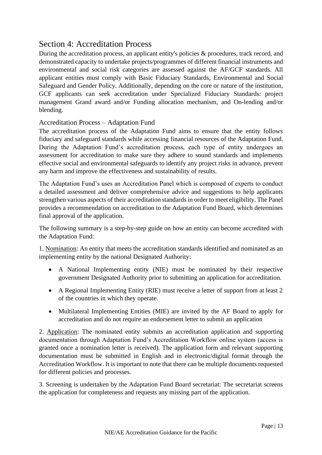## <span id="page-12-0"></span>Section 4: Accreditation Process

During the accreditation process, an applicant entity's policies & procedures, track record, and demonstrated capacity to undertake projects/programmes of different financial instruments and environmental and social risk categories are assessed against the AF/GCF standards. All applicant entities must comply with Basic Fiduciary Standards, Environmental and Social Safeguard and Gender Policy. Additionally, depending on the core or nature of the institution, GCF applicants can seek accreditation under Specialized Fiduciary Standards: project management Grand award and/or Funding allocation mechanism, and On-lending and/or blending.

#### <span id="page-12-1"></span>Accreditation Process – Adaptation Fund

The accreditation process of the Adaptation Fund aims to ensure that the entity follows fiduciary and safeguard standards while accessing financial resources of the Adaptation Fund. During the Adaptation Fund's accreditation process, each type of entity undergoes an assessment for accreditation to make sure they adhere to sound standards and implements effective social and environmental safeguards to identify any project risks in advance, prevent any harm and improve the effectiveness and sustainability of results.

The Adaptation Fund's uses an Accreditation Panel which is composed of experts to conduct a detailed assessment and deliver comprehensive advice and suggestions to help applicants strengthen various aspects of their accreditation standards in order to meet eligibility. The Panel provides a recommendation on accreditation to the Adaptation Fund Board, which determines final approval of the application.

The following summary is a step-by-step guide on how an entity can become accredited with the Adaptation Fund:

1. Nomination: An entity that meets the accreditation standards identified and nominated as an implementing entity by the national Designated Authority:

- A National Implementing entity (NIE) must be nominated by their respective government Designated Authority prior to submitting an application for accreditation.
- A Regional Implementing Entity (RIE) must receive a letter of support from at least 2 of the countries in which they operate.
- Multilateral Implementing Entities (MIE) are invited by the AF Board to apply for accreditation and do not require an endorsement letter to submit an application

2. Application: The nominated entity submits an accreditation application and supporting documentation through Adaptation Fund's Accreditation Workflow online system (access is granted once a nomination letter is received). The application form and relevant supporting documentation must be submitted in English and in electronic/digital format through the Accreditation Workflow. It is important to note that there can be multiple documents requested for different policies and processes.

3. Screening is undertaken by the Adaptation Fund Board secretariat: The secretariat screens the application for completeness and requests any missing part of the application.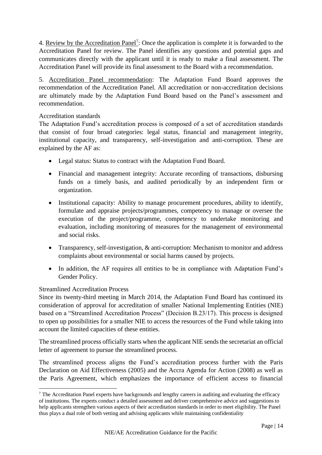4. Review by the Accreditation Panel<sup>7</sup>: Once the application is complete it is forwarded to the Accreditation Panel for review. The Panel identifies any questions and potential gaps and communicates directly with the applicant until it is ready to make a final assessment. The Accreditation Panel will provide its final assessment to the Board with a recommendation.

5. Accreditation Panel recommendation: The Adaptation Fund Board approves the recommendation of the Accreditation Panel. All accreditation or non-accreditation decisions are ultimately made by the Adaptation Fund Board based on the Panel's assessment and recommendation.

#### <span id="page-13-0"></span>Accreditation standards

The Adaptation Fund's accreditation process is composed of a set of accreditation standards that consist of four broad categories: legal status, financial and management integrity, institutional capacity, and transparency, self-investigation and anti-corruption. These are explained by the AF as:

- Legal status: Status to contract with the Adaptation Fund Board.
- Financial and management integrity: Accurate recording of transactions, disbursing funds on a timely basis, and audited periodically by an independent firm or organization.
- Institutional capacity: Ability to manage procurement procedures, ability to identify, formulate and appraise projects/programmes, competency to manage or oversee the execution of the project/programme, competency to undertake monitoring and evaluation, including monitoring of measures for the management of environmental and social risks.
- Transparency, self-investigation, & anti-corruption: Mechanism to monitor and address complaints about environmental or social harms caused by projects.
- In addition, the AF requires all entities to be in compliance with Adaptation Fund's Gender Policy.

#### <span id="page-13-1"></span>Streamlined Accreditation Process

Since its twenty-third meeting in March 2014, the Adaptation Fund Board has continued its consideration of approval for accreditation of smaller National Implementing Entities (NIE) based on a "Streamlined Accreditation Process" (Decision B.23/17). This process is designed to open up possibilities for a smaller NIE to access the resources of the Fund while taking into account the limited capacities of these entities.

The streamlined process officially starts when the applicant NIE sends the secretariat an official letter of agreement to pursue the streamlined process.

The streamlined process aligns the Fund's accreditation process further with the Paris Declaration on Aid Effectiveness (2005) and the Accra Agenda for Action (2008) as well as the Paris Agreement, which emphasizes the importance of efficient access to financial

 $7$  The Accreditation Panel experts have backgrounds and lengthy careers in auditing and evaluating the efficacy of institutions. The experts conduct a detailed assessment and deliver comprehensive advice and suggestions to help applicants strengthen various aspects of their accreditation standards in order to meet eligibility. The Panel thus plays a dual role of both vetting and advising applicants while maintaining confidentiality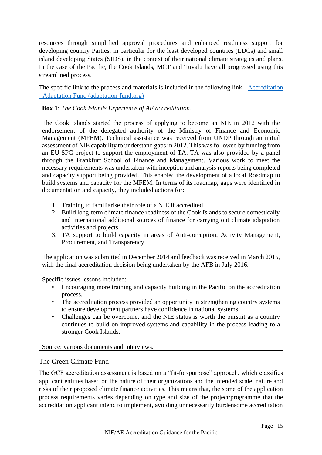resources through simplified approval procedures and enhanced readiness support for developing country Parties, in particular for the least developed countries (LDCs) and small island developing States (SIDS), in the context of their national climate strategies and plans. In the case of the Pacific, the Cook Islands, MCT and Tuvalu have all progressed using this streamlined process.

The specific link to the process and materials is included in the following link - [Accreditation](https://www.adaptation-fund.org/apply-funding/accreditation/)  - [Adaptation Fund \(adaptation-fund.org\)](https://www.adaptation-fund.org/apply-funding/accreditation/)

**Box 1**: *The Cook Islands Experience of AF accreditation*.

The Cook Islands started the process of applying to become an NIE in 2012 with the endorsement of the delegated authority of the Ministry of Finance and Economic Management (MFEM). Technical assistance was received from UNDP through an initial assessment of NIE capability to understand gaps in 2012. This was followed by funding from an EU-SPC project to support the employment of TA. TA was also provided by a panel through the Frankfurt School of Finance and Management. Various work to meet the necessary requirements was undertaken with inception and analysis reports being completed and capacity support being provided. This enabled the development of a local Roadmap to build systems and capacity for the MFEM. In terms of its roadmap, gaps were identified in documentation and capacity, they included actions for:

- 1. Training to familiarise their role of a NIE if accredited.
- 2. Build long-term climate finance readiness of the Cook Islands to secure domestically and international additional sources of finance for carrying out climate adaptation activities and projects.
- 3. TA support to build capacity in areas of Anti-corruption, Activity Management, Procurement, and Transparency.

The application was submitted in December 2014 and feedback was received in March 2015, with the final accreditation decision being undertaken by the AFB in July 2016.

Specific issues lessons included:

- Encouraging more training and capacity building in the Pacific on the accreditation process.
- The accreditation process provided an opportunity in strengthening country systems to ensure development partners have confidence in national systems
- Challenges can be overcome, and the NIE status is worth the pursuit as a country continues to build on improved systems and capability in the process leading to a stronger Cook Islands.

Source: various documents and interviews.

#### <span id="page-14-0"></span>The Green Climate Fund

The GCF accreditation assessment is based on a "fit-for-purpose" approach, which classifies applicant entities based on the nature of their organizations and the intended scale, nature and risks of their proposed climate finance activities. This means that, the some of the application process requirements varies depending on type and size of the project/programme that the accreditation applicant intend to implement, avoiding unnecessarily burdensome accreditation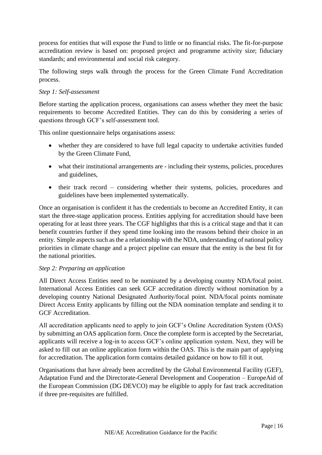process for entities that will expose the Fund to little or no financial risks. The fit-for-purpose accreditation review is based on: proposed project and programme activity size; fiduciary standards; and environmental and social risk category.

The following steps walk through the process for the Green Climate Fund Accreditation process.

#### *Step 1: Self-assessment*

Before starting the application process, organisations can assess whether they meet the basic requirements to become Accredited Entities. They can do this by considering a series of questions through GCF's self-assessment tool.

This online questionnaire helps organisations assess:

- whether they are considered to have full legal capacity to undertake activities funded by the Green Climate Fund,
- what their institutional arrangements are including their systems, policies, procedures and guidelines,
- their track record considering whether their systems, policies, procedures and guidelines have been implemented systematically.

Once an organisation is confident it has the credentials to become an Accredited Entity, it can start the three-stage application process. Entities applying for accreditation should have been operating for at least three years. The CGF highlights that this is a critical stage and that it can benefit countries further if they spend time looking into the reasons behind their choice in an entity. Simple aspects such as the a relationship with the NDA, understanding of national policy priorities in climate change and a project pipeline can ensure that the entity is the best fit for the national priorities.

#### *Step 2: Preparing an application*

All Direct Access Entities need to be nominated by a developing country NDA/focal point. International Access Entities can seek GCF accreditation directly without nomination by a developing country National Designated Authority/focal point. NDA/focal points nominate Direct Access Entity applicants by filling out the NDA nomination template and sending it to GCF Accreditation.

All accreditation applicants need to apply to join GCF's Online Accreditation System (OAS) by submitting an OAS application form. Once the complete form is accepted by the Secretariat, applicants will receive a log-in to access GCF's online application system. Next, they will be asked to fill out an online application form within the OAS. This is the main part of applying for accreditation. The application form contains detailed guidance on how to fill it out.

Organisations that have already been accredited by the Global Environmental Facility (GEF), Adaptation Fund and the Directorate-General Development and Cooperation – EuropeAid of the European Commission (DG DEVCO) may be eligible to apply for fast track accreditation if three pre-requisites are fulfilled.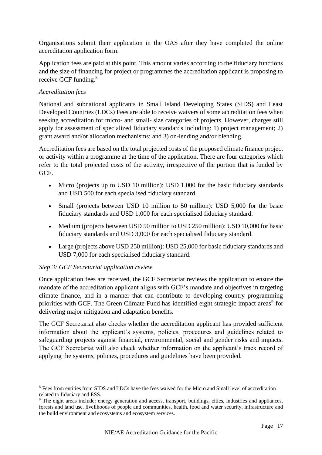Organisations submit their application in the OAS after they have completed the online accreditation application form.

Application fees are paid at this point. This amount varies according to the fiduciary functions and the size of financing for project or programmes the accreditation applicant is proposing to receive GCF funding.<sup>8</sup>

#### *Accreditation fees*

National and subnational applicants in Small Island Developing States (SIDS) and Least Developed Countries (LDCs) Fees are able to receive waivers of some accreditation fees when seeking accreditation for micro- and small- size categories of projects. However, charges still apply for assessment of specialized fiduciary standards including: 1) project management; 2) grant award and/or allocation mechanisms; and 3) on-lending and/or blending.

Accreditation fees are based on the total projected costs of the proposed climate finance project or activity within a programme at the time of the application. There are four categories which refer to the total projected costs of the activity, irrespective of the portion that is funded by GCF.

- Micro (projects up to USD 10 million): USD 1,000 for the basic fiduciary standards and USD 500 for each specialised fiduciary standard.
- Small (projects between USD 10 million to 50 million): USD 5,000 for the basic fiduciary standards and USD 1,000 for each specialised fiduciary standard.
- Medium (projects between USD 50 million to USD 250 million): USD 10,000 for basic fiduciary standards and USD 3,000 for each specialised fiduciary standard.
- Large (projects above USD 250 million): USD 25,000 for basic fiduciary standards and USD 7,000 for each specialised fiduciary standard.

#### *Step 3: GCF Secretariat application review*

Once application fees are received, the GCF Secretariat reviews the application to ensure the mandate of the accreditation applicant aligns with GCF's mandate and objectives in targeting climate finance, and in a manner that can contribute to developing country programming priorities with GCF. The Green Climate Fund has identified eight strategic impact areas<sup>9</sup> for delivering major mitigation and adaptation benefits.

The GCF Secretariat also checks whether the accreditation applicant has provided sufficient information about the applicant's systems, policies, procedures and guidelines related to safeguarding projects against financial, environmental, social and gender risks and impacts. The GCF Secretariat will also check whether information on the applicant's track record of applying the systems, policies, procedures and guidelines have been provided.

<sup>8</sup> Fees from entities from SIDS and LDCs have the fees waived for the Micro and Small level of accreditation related to fiduciary and ESS.

<sup>9</sup> The eight areas include: energy generation and access, transport, buildings, cities, industries and appliances, forests and land use, livelihoods of people and communities, health, food and water security, infrastructure and the build environment and ecosystems and ecosystem services.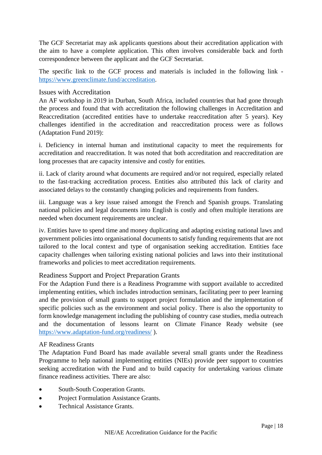The GCF Secretariat may ask applicants questions about their accreditation application with the aim to have a complete application. This often involves considerable back and forth correspondence between the applicant and the GCF Secretariat.

The specific link to the GCF process and materials is included in the following link [https://www.greenclimate.fund/accreditation.](https://www.greenclimate.fund/accreditation)

#### <span id="page-17-0"></span>Issues with Accreditation

An AF workshop in 2019 in Durban, South Africa, included countries that had gone through the process and found that with accreditation the following challenges in Accreditation and Reaccreditation (accredited entities have to undertake reaccreditation after 5 years). Key challenges identified in the accreditation and reaccreditation process were as follows (Adaptation Fund 2019):

i. Deficiency in internal human and institutional capacity to meet the requirements for accreditation and reaccreditation. It was noted that both accreditation and reaccreditation are long processes that are capacity intensive and costly for entities.

ii. Lack of clarity around what documents are required and/or not required, especially related to the fast-tracking accreditation process. Entities also attributed this lack of clarity and associated delays to the constantly changing policies and requirements from funders.

iii. Language was a key issue raised amongst the French and Spanish groups. Translating national policies and legal documents into English is costly and often multiple iterations are needed when document requirements are unclear.

iv. Entities have to spend time and money duplicating and adapting existing national laws and government policies into organisational documents to satisfy funding requirements that are not tailored to the local context and type of organisation seeking accreditation. Entities face capacity challenges when tailoring existing national policies and laws into their institutional frameworks and policies to meet accreditation requirements.

#### <span id="page-17-1"></span>Readiness Support and Project Preparation Grants

For the Adaption Fund there is a Readiness Programme with support available to accredited implementing entities, which includes introduction seminars, facilitating peer to peer learning and the provision of small grants to support project formulation and the implementation of specific policies such as the environment and social policy. There is also the opportunity to form knowledge management including the publishing of country case studies, media outreach and the documentation of lessons learnt on Climate Finance Ready website (see <https://www.adaptation-fund.org/readiness/> ).

#### <span id="page-17-2"></span>AF Readiness Grants

The Adaptation Fund Board has made available several small grants under the Readiness Programme to help national implementing entities (NIEs) provide peer support to countries seeking accreditation with the Fund and to build capacity for undertaking various climate finance readiness activities. There are also:

- South-South Cooperation Grants.
- Project Formulation Assistance Grants.
- Technical Assistance Grants.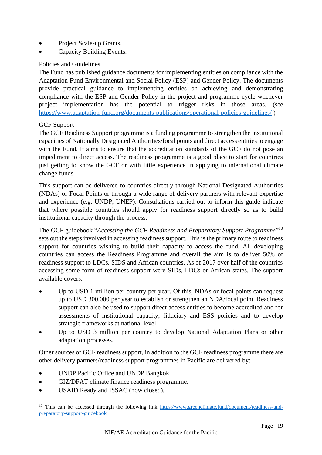- Project Scale-up Grants.
- Capacity Building Events.

#### <span id="page-18-0"></span>Policies and Guidelines

The Fund has published guidance documents for implementing entities on compliance with the Adaptation Fund Environmental and Social Policy (ESP) and Gender Policy. The documents provide practical guidance to implementing entities on achieving and demonstrating compliance with the ESP and Gender Policy in the project and programme cycle whenever project implementation has the potential to trigger risks in those areas. (see <https://www.adaptation-fund.org/documents-publications/operational-policies-guidelines/> )

#### <span id="page-18-1"></span>GCF Support

The GCF Readiness Support programme is a funding programme to strengthen the institutional capacities of Nationally Designated Authorities/focal points and direct access entities to engage with the Fund. It aims to ensure that the accreditation standards of the GCF do not pose an impediment to direct access. The readiness programme is a good place to start for countries just getting to know the GCF or with little experience in applying to international climate change funds.

This support can be delivered to countries directly through National Designated Authorities (NDAs) or Focal Points or through a wide range of delivery partners with relevant expertise and experience (e.g. UNDP, UNEP). Consultations carried out to inform this guide indicate that where possible countries should apply for readiness support directly so as to build institutional capacity through the process.

The GCF guidebook "*Accessing the GCF Readiness and Preparatory Support Programme*" 10 sets out the steps involved in accessing readiness support. This is the primary route to readiness support for countries wishing to build their capacity to access the fund. All developing countries can access the Readiness Programme and overall the aim is to deliver 50% of readiness support to LDCs, SIDS and African countries. As of 2017 over half of the countries accessing some form of readiness support were SIDs, LDCs or African states. The support available covers:

- Up to USD 1 million per country per year. Of this, NDAs or focal points can request up to USD 300,000 per year to establish or strengthen an NDA/focal point. Readiness support can also be used to support direct access entities to become accredited and for assessments of institutional capacity, fiduciary and ESS policies and to develop strategic frameworks at national level.
- Up to USD 3 million per country to develop National Adaptation Plans or other adaptation processes.

Other sources of GCF readiness support, in addition to the GCF readiness programme there are other delivery partners/readiness support programmes in Pacific are delivered by:

- UNDP Pacific Office and UNDP Bangkok.
- GIZ/DFAT climate finance readiness programme.
- USAID Ready and ISSAC (now closed).

<sup>&</sup>lt;sup>10</sup> This can be accessed through the following link [https://www.greenclimate.fund/document/readiness-and](https://www.greenclimate.fund/document/readiness-and-preparatory-support-guidebook)[preparatory-support-guidebook](https://www.greenclimate.fund/document/readiness-and-preparatory-support-guidebook)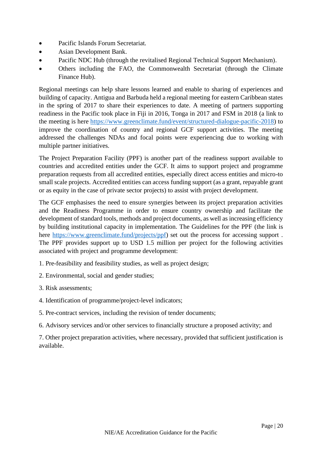- Pacific Islands Forum Secretariat.
- Asian Development Bank.
- Pacific NDC Hub (through the revitalised Regional Technical Support Mechanism).
- Others including the FAO, the Commonwealth Secretariat (through the Climate Finance Hub).

Regional meetings can help share lessons learned and enable to sharing of experiences and building of capacity. Antigua and Barbuda held a regional meeting for eastern Caribbean states in the spring of 2017 to share their experiences to date. A meeting of partners supporting readiness in the Pacific took place in Fiji in 2016, Tonga in 2017 and FSM in 2018 (a link to the meeting is here [https://www.greenclimate.fund/event/structured-dialogue-pacific-2018\)](https://www.greenclimate.fund/event/structured-dialogue-pacific-2018) to improve the coordination of country and regional GCF support activities. The meeting addressed the challenges NDAs and focal points were experiencing due to working with multiple partner initiatives.

The Project Preparation Facility (PPF) is another part of the readiness support available to countries and accredited entities under the GCF. It aims to support project and programme preparation requests from all accredited entities, especially direct access entities and micro-to small scale projects. Accredited entities can access funding support (as a grant, repayable grant or as equity in the case of private sector projects) to assist with project development.

The GCF emphasises the need to ensure synergies between its project preparation activities and the Readiness Programme in order to ensure country ownership and facilitate the development of standard tools, methods and project documents, as well as increasing efficiency by building institutional capacity in implementation. The Guidelines for the PPF (the link is here [https://www.greenclimate.fund/projects/ppf\)](https://www.greenclimate.fund/projects/ppf) set out the process for accessing support . The PPF provides support up to USD 1.5 million per project for the following activities associated with project and programme development:

- 1. Pre-feasibility and feasibility studies, as well as project design;
- 2. Environmental, social and gender studies;
- 3. Risk assessments;
- 4. Identification of programme/project-level indicators;
- 5. Pre-contract services, including the revision of tender documents;
- 6. Advisory services and/or other services to financially structure a proposed activity; and

7. Other project preparation activities, where necessary, provided that sufficient justification is available.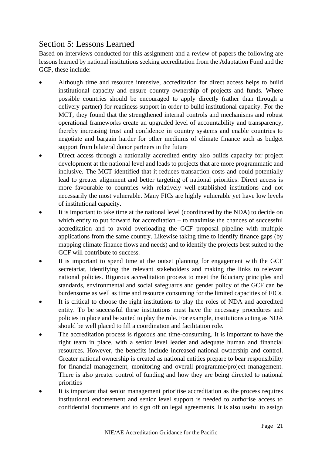## <span id="page-20-0"></span>Section 5: Lessons Learned

Based on interviews conducted for this assignment and a review of papers the following are lessons learned by national institutions seeking accreditation from the Adaptation Fund and the GCF, these include:

- Although time and resource intensive, accreditation for direct access helps to build institutional capacity and ensure country ownership of projects and funds. Where possible countries should be encouraged to apply directly (rather than through a delivery partner) for readiness support in order to build institutional capacity. For the MCT, they found that the strengthened internal controls and mechanisms and robust operational frameworks create an upgraded level of accountability and transparency, thereby increasing trust and confidence in country systems and enable countries to negotiate and bargain harder for other mediums of climate finance such as budget support from bilateral donor partners in the future
- Direct access through a nationally accredited entity also builds capacity for project development at the national level and leads to projects that are more programmatic and inclusive. The MCT identified that it reduces transaction costs and could potentially lead to greater alignment and better targeting of national priorities. Direct access is more favourable to countries with relatively well-established institutions and not necessarily the most vulnerable. Many FICs are highly vulnerable yet have low levels of institutional capacity.
- It is important to take time at the national level (coordinated by the NDA) to decide on which entity to put forward for accreditation – to maximise the chances of successful accreditation and to avoid overloading the GCF proposal pipeline with multiple applications from the same country. Likewise taking time to identify finance gaps (by mapping climate finance flows and needs) and to identify the projects best suited to the GCF will contribute to success.
- It is important to spend time at the outset planning for engagement with the GCF secretariat, identifying the relevant stakeholders and making the links to relevant national policies. Rigorous accreditation process to meet the fiduciary principles and standards, environmental and social safeguards and gender policy of the GCF can be burdensome as well as time and resource consuming for the limited capacities of FICs.
- It is critical to choose the right institutions to play the roles of NDA and accredited entity. To be successful these institutions must have the necessary procedures and policies in place and be suited to play the role. For example, institutions acting as NDA should be well placed to fill a coordination and facilitation role.
- The accreditation process is rigorous and time-consuming. It is important to have the right team in place, with a senior level leader and adequate human and financial resources. However, the benefits include increased national ownership and control. Greater national ownership is created as national entities prepare to bear responsibility for financial management, monitoring and overall programme/project management. There is also greater control of funding and how they are being directed to national priorities
- It is important that senior management prioritise accreditation as the process requires institutional endorsement and senior level support is needed to authorise access to confidential documents and to sign off on legal agreements. It is also useful to assign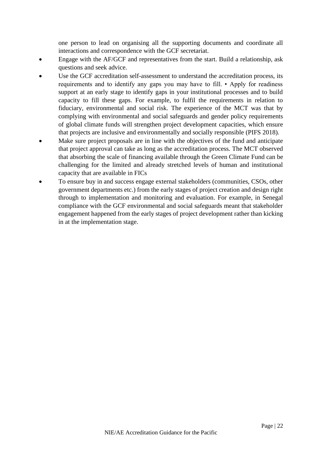one person to lead on organising all the supporting documents and coordinate all interactions and correspondence with the GCF secretariat.

- Engage with the AF/GCF and representatives from the start. Build a relationship, ask questions and seek advice.
- Use the GCF accreditation self-assessment to understand the accreditation process, its requirements and to identify any gaps you may have to fill. • Apply for readiness support at an early stage to identify gaps in your institutional processes and to build capacity to fill these gaps. For example, to fulfil the requirements in relation to fiduciary, environmental and social risk. The experience of the MCT was that by complying with environmental and social safeguards and gender policy requirements of global climate funds will strengthen project development capacities, which ensure that projects are inclusive and environmentally and socially responsible (PIFS 2018).
- Make sure project proposals are in line with the objectives of the fund and anticipate that project approval can take as long as the accreditation process. The MCT observed that absorbing the scale of financing available through the Green Climate Fund can be challenging for the limited and already stretched levels of human and institutional capacity that are available in FICs
- To ensure buy in and success engage external stakeholders (communities, CSOs, other government departments etc.) from the early stages of project creation and design right through to implementation and monitoring and evaluation. For example, in Senegal compliance with the GCF environmental and social safeguards meant that stakeholder engagement happened from the early stages of project development rather than kicking in at the implementation stage.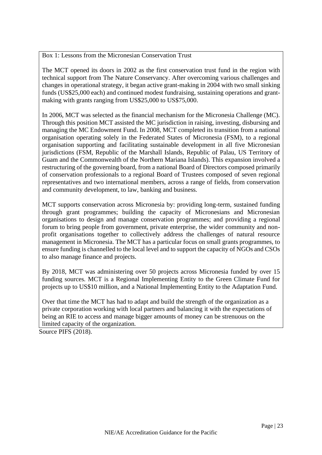Box 1: Lessons from the Micronesian Conservation Trust

The MCT opened its doors in 2002 as the first conservation trust fund in the region with technical support from The Nature Conservancy. After overcoming various challenges and changes in operational strategy, it began active grant-making in 2004 with two small sinking funds (US\$25,000 each) and continued modest fundraising, sustaining operations and grantmaking with grants ranging from US\$25,000 to US\$75,000.

In 2006, MCT was selected as the financial mechanism for the Micronesia Challenge (MC). Through this position MCT assisted the MC jurisdiction in raising, investing, disbursing and managing the MC Endowment Fund. In 2008, MCT completed its transition from a national organisation operating solely in the Federated States of Micronesia (FSM), to a regional organisation supporting and facilitating sustainable development in all five Micronesian jurisdictions (FSM, Republic of the Marshall Islands, Republic of Palau, US Territory of Guam and the Commonwealth of the Northern Mariana Islands). This expansion involved a restructuring of the governing board, from a national Board of Directors composed primarily of conservation professionals to a regional Board of Trustees composed of seven regional representatives and two international members, across a range of fields, from conservation and community development, to law, banking and business.

MCT supports conservation across Micronesia by: providing long-term, sustained funding through grant programmes; building the capacity of Micronesians and Micronesian organisations to design and manage conservation programmes; and providing a regional forum to bring people from government, private enterprise, the wider community and nonprofit organisations together to collectively address the challenges of natural resource management in Micronesia. The MCT has a particular focus on small grants programmes, to ensure funding is channelled to the local level and to support the capacity of NGOs and CSOs to also manage finance and projects.

By 2018, MCT was administering over 50 projects across Micronesia funded by over 15 funding sources. MCT is a Regional Implementing Entity to the Green Climate Fund for projects up to US\$10 million, and a National Implementing Entity to the Adaptation Fund.

Over that time the MCT has had to adapt and build the strength of the organization as a private corporation working with local partners and balancing it with the expectations of being an RIE to access and manage bigger amounts of money can be strenuous on the limited capacity of the organization.

Source PIFS (2018).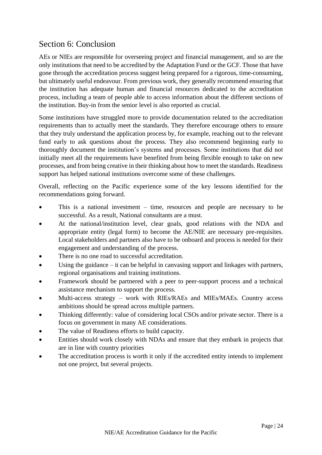## <span id="page-23-0"></span>Section 6: Conclusion

AEs or NIEs are responsible for overseeing project and financial management, and so are the only institutions that need to be accredited by the Adaptation Fund or the GCF. Those that have gone through the accreditation process suggest being prepared for a rigorous, time-consuming, but ultimately useful endeavour. From previous work, they generally recommend ensuring that the institution has adequate human and financial resources dedicated to the accreditation process, including a team of people able to access information about the different sections of the institution. Buy-in from the senior level is also reported as crucial.

Some institutions have struggled more to provide documentation related to the accreditation requirements than to actually meet the standards. They therefore encourage others to ensure that they truly understand the application process by, for example, reaching out to the relevant fund early to ask questions about the process. They also recommend beginning early to thoroughly document the institution's systems and processes. Some institutions that did not initially meet all the requirements have benefited from being flexible enough to take on new processes, and from being creative in their thinking about how to meet the standards. Readiness support has helped national institutions overcome some of these challenges.

Overall, reflecting on the Pacific experience some of the key lessons identified for the recommendations going forward.

- This is a national investment time, resources and people are necessary to be successful. As a result, National consultants are a must.
- At the national/institution level, clear goals, good relations with the NDA and appropriate entity (legal form) to become the AE/NIE are necessary pre-requisites. Local stakeholders and partners also have to be onboard and process is needed for their engagement and understanding of the process.
- There is no one road to successful accreditation.
- Using the guidance  $-$  it can be helpful in canvasing support and linkages with partners, regional organisations and training institutions.
- Framework should be partnered with a peer to peer-support process and a technical assistance mechanism to support the process.
- Multi-access strategy work with RIEs/RAEs and MIEs/MAEs. Country access ambitions should be spread across multiple partners.
- Thinking differently: value of considering local CSOs and/or private sector. There is a focus on government in many AE considerations.
- The value of Readiness efforts to build capacity.
- Entities should work closely with NDAs and ensure that they embark in projects that are in line with country priorities
- The accreditation process is worth it only if the accredited entity intends to implement not one project, but several projects.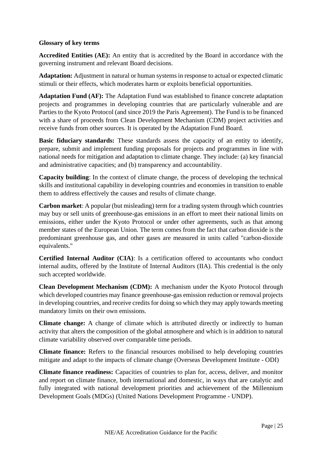#### **Glossary of key terms**

**Accredited Entities (AE):** An entity that is accredited by the Board in accordance with the governing instrument and relevant Board decisions.

**Adaptation:** Adjustment in natural or human systems in response to actual or expected climatic stimuli or their effects, which moderates harm or exploits beneficial opportunities.

**Adaptation Fund (AF):** The Adaptation Fund was established to finance concrete adaptation projects and programmes in developing countries that are particularly vulnerable and are Parties to the Kyoto Protocol (and since 2019 the Paris Agreement). The Fund is to be financed with a share of proceeds from Clean Development Mechanism (CDM) project activities and receive funds from other sources. It is operated by the Adaptation Fund Board.

**Basic fiduciary standards:** These standards assess the capacity of an entity to identify, prepare, submit and implement funding proposals for projects and programmes in line with national needs for mitigation and adaptation to climate change. They include: (a) key financial and administrative capacities; and (b) transparency and accountability.

**Capacity building**: In the context of climate change, the process of developing the technical skills and institutional capability in developing countries and economies in transition to enable them to address effectively the causes and results of climate change.

**Carbon market**: A popular (but misleading) term for a trading system through which countries may buy or sell units of greenhouse-gas emissions in an effort to meet their national limits on emissions, either under the Kyoto Protocol or under other agreements, such as that among member states of the European Union. The term comes from the fact that carbon dioxide is the predominant greenhouse gas, and other gases are measured in units called "carbon-dioxide equivalents."

**Certified Internal Auditor (CIA)**: Is a certification offered to accountants who conduct internal audits, offered by the Institute of Internal Auditors (IIA). This credential is the only such accepted worldwide.

**Clean Development Mechanism (CDM):** A mechanism under the Kyoto Protocol through which developed countries may finance greenhouse-gas emission reduction or removal projects in developing countries, and receive credits for doing so which they may apply towards meeting mandatory limits on their own emissions.

**Climate change:** A change of climate which is attributed directly or indirectly to human activity that alters the composition of the global atmosphere and which is in addition to natural climate variability observed over comparable time periods.

**Climate finance:** Refers to the financial resources mobilised to help developing countries mitigate and adapt to the impacts of climate change (Overseas Development Institute - ODI)

**Climate finance readiness:** Capacities of countries to plan for, access, deliver, and monitor and report on climate finance, both international and domestic, in ways that are catalytic and fully integrated with national development priorities and achievement of the Millennium Development Goals (MDGs) (United Nations Development Programme - UNDP).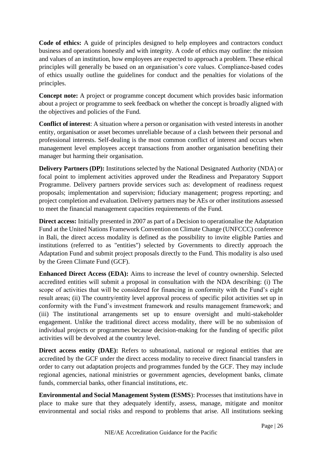**Code of ethics:** A guide of principles designed to help employees and contractors conduct business and operations honestly and with integrity. A code of ethics may outline: the mission and values of an institution, how employees are expected to approach a problem. These ethical principles will generally be based on an organisation's core values. Compliance-based codes of ethics usually outline the guidelines for conduct and the penalties for violations of the principles.

**Concept note:** A project or programme concept document which provides basic information about a project or programme to seek feedback on whether the concept is broadly aligned with the objectives and policies of the Fund.

**Conflict of interest**: A situation where a person or organisation with vested interests in another entity, organisation or asset becomes unreliable because of a clash between their personal and professional interests. Self-dealing is the most common conflict of interest and occurs when management level employees accept transactions from another organisation benefiting their manager but harming their organisation.

**Delivery Partners (DP):** Institutions selected by the National Designated Authority (NDA) or focal point to implement activities approved under the Readiness and Preparatory Support Programme. Delivery partners provide services such as: development of readiness request proposals; implementation and supervision; fiduciary management; progress reporting; and project completion and evaluation. Delivery partners may be AEs or other institutions assessed to meet the financial management capacities requirements of the Fund.

**Direct access:** Initially presented in 2007 as part of a Decision to operationalise the Adaptation Fund at the United Nations Framework Convention on Climate Change (UNFCCC) conference in Bali, the direct access modality is defined as the possibility to invite eligible Parties and institutions (referred to as "entities") selected by Governments to directly approach the Adaptation Fund and submit project proposals directly to the Fund. This modality is also used by the Green Climate Fund (GCF).

**Enhanced Direct Access (EDA):** Aims to increase the level of country ownership. Selected accredited entities will submit a proposal in consultation with the NDA describing: (i) The scope of activities that will be considered for financing in conformity with the Fund's eight result areas; (ii) The country/entity level approval process of specific pilot activities set up in conformity with the Fund's investment framework and results management framework; and (iii) The institutional arrangements set up to ensure oversight and multi-stakeholder engagement. Unlike the traditional direct access modality, there will be no submission of individual projects or programmes because decision-making for the funding of specific pilot activities will be devolved at the country level.

**Direct access entity (DAE):** Refers to subnational, national or regional entities that are accredited by the GCF under the direct access modality to receive direct financial transfers in order to carry out adaptation projects and programmes funded by the GCF. They may include regional agencies, national ministries or government agencies, development banks, climate funds, commercial banks, other financial institutions, etc.

**Environmental and Social Management System (ESMS**): Processes that institutions have in place to make sure that they adequately identify, assess, manage, mitigate and monitor environmental and social risks and respond to problems that arise. All institutions seeking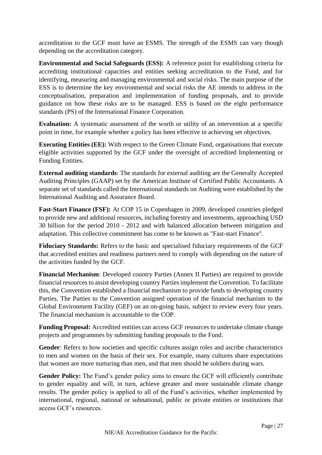accreditation to the GCF must have an ESMS. The strength of the ESMS can vary though depending on the accreditation category.

**Environmental and Social Safeguards (ESS):** A reference point for establishing criteria for accrediting institutional capacities and entities seeking accreditation to the Fund, and for identifying, measuring and managing environmental and social risks. The main purpose of the ESS is to determine the key environmental and social risks the AE intends to address in the conceptualisation, preparation and implementation of funding proposals, and to provide guidance on how these risks are to be managed. ESS is based on the eight performance standards (PS) of the International Finance Corporation.

**Evaluation:** A systematic assessment of the worth or utility of an intervention at a specific point in time, for example whether a policy has been effective in achieving set objectives.

**Executing Entities (EE):** With respect to the Green Climate Fund, organisations that execute eligible activities supported by the GCF under the oversight of accredited Implementing or Funding Entities.

**External auditing standards**: The standards for external auditing are the Generally Accepted Auditing Principles (GAAP) set by the American Institute of Certified Public Accountants. A separate set of standards called the International standards on Auditing were established by the International Auditing and Assurance Board.

**Fast-Start Finance (FSF):** At COP 15 in Copenhagen in 2009, developed countries pledged to provide new and additional resources, including forestry and investments, approaching USD 30 billion for the period 2010 - 2012 and with balanced allocation between mitigation and adaptation. This collective commitment has come to be known as "Fast-start Finance".

**Fiduciary Standards:** Refers to the basic and specialised fiduciary requirements of the GCF that accredited entities and readiness partners need to comply with depending on the nature of the activities funded by the GCF.

**Financial Mechanism**: Developed country Parties (Annex II Parties) are required to provide financial resources to assist developing country Parties implement the Convention. To facilitate this, the Convention established a financial mechanism to provide funds to developing country Parties. The Parties to the Convention assigned operation of the financial mechanism to the Global Environment Facility (GEF) on an on-going basis, subject to review every four years. The financial mechanism is accountable to the COP.

**Funding Proposal:** Accredited entities can access GCF resources to undertake climate change projects and programmes by submitting funding proposals to the Fund.

Gender: Refers to how societies and specific cultures assign roles and ascribe characteristics to men and women on the basis of their sex. For example, many cultures share expectations that women are more nurturing than men, and that men should be soldiers during wars.

**Gender Policy:** The Fund's gender policy aims to ensure the GCF will efficiently contribute to gender equality and will, in turn, achieve greater and more sustainable climate change results. The gender policy is applied to all of the Fund's activities, whether implemented by international, regional, national or subnational, public or private entities or institutions that access GCF's resources.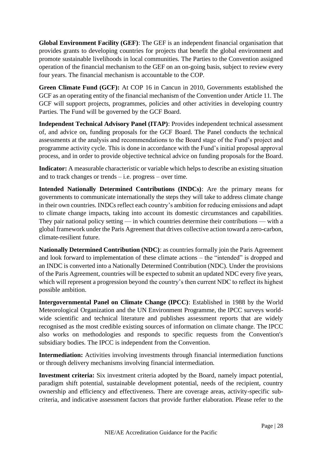**Global Environment Facility (GEF)**: The GEF is an independent financial organisation that provides grants to developing countries for projects that benefit the global environment and promote sustainable livelihoods in local communities. The Parties to the Convention assigned operation of the financial mechanism to the GEF on an on-going basis, subject to review every four years. The financial mechanism is accountable to the COP.

**Green Climate Fund (GCF):** At COP 16 in Cancun in 2010, Governments established the GCF as an operating entity of the financial mechanism of the Convention under Article 11. The GCF will support projects, programmes, policies and other activities in developing country Parties. The Fund will be governed by the GCF Board.

**Independent Technical Advisory Panel (ITAP)**: Provides independent technical assessment of, and advice on, funding proposals for the GCF Board. The Panel conducts the technical assessments at the analysis and recommendations to the Board stage of the Fund's project and programme activity cycle. This is done in accordance with the Fund's initial proposal approval process, and in order to provide objective technical advice on funding proposals for the Board.

**Indicator:** A measurable characteristic or variable which helps to describe an existing situation and to track changes or trends – i.e. progress – over time.

**Intended Nationally Determined Contributions (INDCs)**: Are the primary means for governments to communicate internationally the steps they will take to address climate change in their own countries. INDCs reflect each country's ambition for reducing emissions and adapt to climate change impacts, taking into account its domestic circumstances and capabilities. They pair national policy setting — in which countries determine their contributions — with a global framework under the Paris Agreement that drives collective action toward a zero-carbon, climate-resilient future.

**Nationally Determined Contribution (NDC)**: as countries formally join the Paris Agreement and look forward to implementation of these climate actions – the "intended" is dropped and an INDC is converted into a Nationally Determined Contribution (NDC). Under the provisions of the Paris Agreement, countries will be expected to submit an updated NDC every five years, which will represent a progression beyond the country's then current NDC to reflect its highest possible ambition.

**Intergovernmental Panel on Climate Change (IPCC)**: Established in 1988 by the World Meteorological Organization and the UN Environment Programme, the IPCC surveys worldwide scientific and technical literature and publishes assessment reports that are widely recognised as the most credible existing sources of information on climate change. The IPCC also works on methodologies and responds to specific requests from the Convention's subsidiary bodies. The IPCC is independent from the Convention.

**Intermediation:** Activities involving investments through financial intermediation functions or through delivery mechanisms involving financial intermediation.

**Investment criteria:** Six investment criteria adopted by the Board, namely impact potential, paradigm shift potential, sustainable development potential, needs of the recipient, country ownership and efficiency and effectiveness. There are coverage areas, activity-specific subcriteria, and indicative assessment factors that provide further elaboration. Please refer to the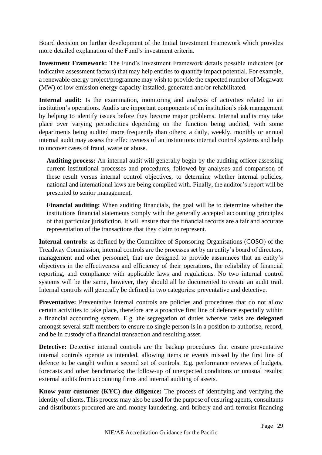Board decision on further development of the Initial Investment Framework which provides more detailed explanation of the Fund's investment criteria.

**Investment Framework:** The Fund's Investment Framework details possible indicators (or indicative assessment factors) that may help entities to quantify impact potential. For example, a renewable energy project/programme may wish to provide the expected number of Megawatt (MW) of low emission energy capacity installed, generated and/or rehabilitated.

**Internal audit:** Is the examination, monitoring and analysis of activities related to an institution's operations. Audits are important components of an institution's risk management by helping to identify issues before they become major problems. Internal audits may take place over varying periodicities depending on the function being audited, with some departments being audited more frequently than others: a daily, weekly, monthly or annual internal audit may assess the effectiveness of an institutions internal control systems and help to uncover cases of fraud, waste or abuse.

**Auditing process:** An internal audit will generally begin by the auditing officer assessing current institutional processes and procedures, followed by analyses and comparison of these result versus internal control objectives, to determine whether internal policies, national and international laws are being complied with. Finally, the auditor's report will be presented to senior management.

**Financial auditing:** When auditing financials, the goal will be to determine whether the institutions financial statements comply with the generally accepted accounting principles of that particular jurisdiction. It will ensure that the financial records are a fair and accurate representation of the transactions that they claim to represent.

**Internal controls:** as defined by the Committee of Sponsoring Organisations (COSO) of the Treadway Commission, internal controls are the processes set by an entity's board of directors, management and other personnel, that are designed to provide assurances that an entity's objectives in the effectiveness and efficiency of their operations, the reliability of financial reporting, and compliance with applicable laws and regulations. No two internal control systems will be the same, however, they should all be documented to create an audit trail. Internal controls will generally be defined in two categories: preventative and detective.

**Preventative:** Preventative internal controls are policies and procedures that do not allow certain activities to take place, therefore are a proactive first line of defence especially within a financial accounting system. E.g. the segregation of duties whereas tasks are **delegated** amongst several staff members to ensure no single person is in a position to authorise, record, and be in custody of a financial transaction and resulting asset.

**Detective:** Detective internal controls are the backup procedures that ensure preventative internal controls operate as intended, allowing items or events missed by the first line of defence to be caught within a second set of controls. E.g. performance reviews of budgets, forecasts and other benchmarks; the follow-up of unexpected conditions or unusual results; external audits from accounting firms and internal auditing of assets.

**Know your customer (KYC) due diligence:** The process of identifying and verifying the identity of clients. This process may also be used for the purpose of ensuring agents, consultants and distributors procured are anti-money laundering, anti-bribery and anti-terrorist financing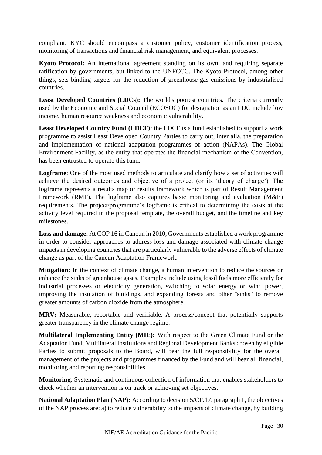compliant. KYC should encompass a customer policy, customer identification process, monitoring of transactions and financial risk management, and equivalent processes.

**Kyoto Protocol:** An international agreement standing on its own, and requiring separate ratification by governments, but linked to the UNFCCC. The Kyoto Protocol, among other things, sets binding targets for the reduction of greenhouse-gas emissions by industrialised countries.

**Least Developed Countries (LDCs):** The world's poorest countries. The criteria currently used by the Economic and Social Council (ECOSOC) for designation as an LDC include low income, human resource weakness and economic vulnerability.

**Least Developed Country Fund (LDCF)**: the LDCF is a fund established to support a work programme to assist Least Developed Country Parties to carry out, inter alia, the preparation and implementation of national adaptation programmes of action (NAPAs). The Global Environment Facility, as the entity that operates the financial mechanism of the Convention, has been entrusted to operate this fund.

**Logframe**: One of the most used methods to articulate and clarify how a set of activities will achieve the desired outcomes and objective of a project (or its 'theory of change'). The logframe represents a results map or results framework which is part of Result Management Framework (RMF). The logframe also captures basic monitoring and evaluation (M&E) requirements. The project/programme's logframe is critical to determining the costs at the activity level required in the proposal template, the overall budget, and the timeline and key milestones.

**Loss and damage**: At COP 16 in Cancun in 2010, Governments established a work programme in order to consider approaches to address loss and damage associated with climate change impacts in developing countries that are particularly vulnerable to the adverse effects of climate change as part of the Cancun Adaptation Framework.

**Mitigation:** In the context of climate change, a human intervention to reduce the sources or enhance the sinks of greenhouse gases. Examples include using fossil fuels more efficiently for industrial processes or electricity generation, switching to solar energy or wind power, improving the insulation of buildings, and expanding forests and other "sinks" to remove greater amounts of carbon dioxide from the atmosphere.

**MRV:** Measurable, reportable and verifiable. A process/concept that potentially supports greater transparency in the climate change regime.

**Multilateral Implementing Entity (MIE):** With respect to the Green Climate Fund or the Adaptation Fund, Multilateral Institutions and Regional Development Banks chosen by eligible Parties to submit proposals to the Board, will bear the full responsibility for the overall management of the projects and programmes financed by the Fund and will bear all financial, monitoring and reporting responsibilities.

**Monitoring**: Systematic and continuous collection of information that enables stakeholders to check whether an intervention is on track or achieving set objectives.

**National Adaptation Plan (NAP):** According to decision 5/CP.17, paragraph 1, the objectives of the NAP process are: a) to reduce vulnerability to the impacts of climate change, by building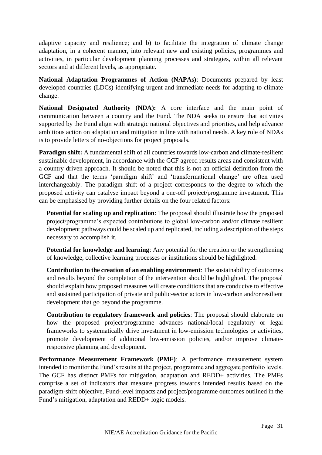adaptive capacity and resilience; and b) to facilitate the integration of climate change adaptation, in a coherent manner, into relevant new and existing policies, programmes and activities, in particular development planning processes and strategies, within all relevant sectors and at different levels, as appropriate.

**National Adaptation Programmes of Action (NAPAs)**: Documents prepared by least developed countries (LDCs) identifying urgent and immediate needs for adapting to climate change.

**National Designated Authority (NDA):** A core interface and the main point of communication between a country and the Fund. The NDA seeks to ensure that activities supported by the Fund align with strategic national objectives and priorities, and help advance ambitious action on adaptation and mitigation in line with national needs. A key role of NDAs is to provide letters of no-objections for project proposals.

**Paradigm shift:** A fundamental shift of all countries towards low-carbon and climate-resilient sustainable development, in accordance with the GCF agreed results areas and consistent with a country-driven approach. It should be noted that this is not an official definition from the GCF and that the terms 'paradigm shift' and 'transformational change' are often used interchangeably. The paradigm shift of a project corresponds to the degree to which the proposed activity can catalyse impact beyond a one-off project/programme investment. This can be emphasised by providing further details on the four related factors:

**Potential for scaling up and replication**: The proposal should illustrate how the proposed project/programme's expected contributions to global low-carbon and/or climate resilient development pathways could be scaled up and replicated, including a description of the steps necessary to accomplish it.

**Potential for knowledge and learning**: Any potential for the creation or the strengthening of knowledge, collective learning processes or institutions should be highlighted.

**Contribution to the creation of an enabling environment**: The sustainability of outcomes and results beyond the completion of the intervention should be highlighted. The proposal should explain how proposed measures will create conditions that are conducive to effective and sustained participation of private and public-sector actors in low-carbon and/or resilient development that go beyond the programme.

**Contribution to regulatory framework and policies**: The proposal should elaborate on how the proposed project/programme advances national/local regulatory or legal frameworks to systematically drive investment in low-emission technologies or activities, promote development of additional low-emission policies, and/or improve climateresponsive planning and development.

**Performance Measurement Framework (PMF)**: A performance measurement system intended to monitor the Fund's results at the project, programme and aggregate portfolio levels. The GCF has distinct PMFs for mitigation, adaptation and REDD+ activities. The PMFs comprise a set of indicators that measure progress towards intended results based on the paradigm-shift objective, Fund-level impacts and project/programme outcomes outlined in the Fund's mitigation, adaptation and REDD+ logic models.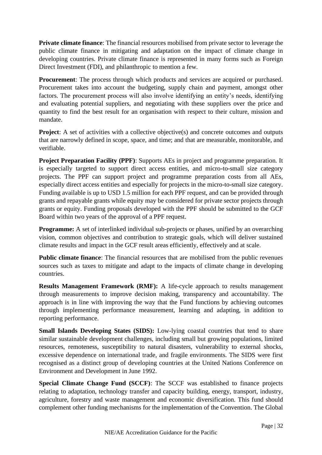**Private climate finance:** The financial resources mobilised from private sector to leverage the public climate finance in mitigating and adaptation on the impact of climate change in developing countries. Private climate finance is represented in many forms such as Foreign Direct Investment (FDI), and philanthropic to mention a few.

**Procurement**: The process through which products and services are acquired or purchased. Procurement takes into account the budgeting, supply chain and payment, amongst other factors. The procurement process will also involve identifying an entity's needs, identifying and evaluating potential suppliers, and negotiating with these suppliers over the price and quantity to find the best result for an organisation with respect to their culture, mission and mandate.

**Project:** A set of activities with a collective objective(s) and concrete outcomes and outputs that are narrowly defined in scope, space, and time; and that are measurable, monitorable, and verifiable.

**Project Preparation Facility (PPF)**: Supports AEs in project and programme preparation. It is especially targeted to support direct access entities, and micro-to-small size category projects. The PPF can support project and programme preparation costs from all AEs, especially direct access entities and especially for projects in the micro-to-small size category. Funding available is up to USD 1.5 million for each PPF request, and can be provided through grants and repayable grants while equity may be considered for private sector projects through grants or equity. Funding proposals developed with the PPF should be submitted to the GCF Board within two years of the approval of a PPF request.

**Programme:** A set of interlinked individual sub-projects or phases, unified by an overarching vision, common objectives and contribution to strategic goals, which will deliver sustained climate results and impact in the GCF result areas efficiently, effectively and at scale.

**Public climate finance**: The financial resources that are mobilised from the public revenues sources such as taxes to mitigate and adapt to the impacts of climate change in developing countries.

**Results Management Framework (RMF):** A life-cycle approach to results management through measurements to improve decision making, transparency and accountability. The approach is in line with improving the way that the Fund functions by achieving outcomes through implementing performance measurement, learning and adapting, in addition to reporting performance.

**Small Islands Developing States (SIDS):** Low-lying coastal countries that tend to share similar sustainable development challenges, including small but growing populations, limited resources, remoteness, susceptibility to natural disasters, vulnerability to external shocks, excessive dependence on international trade, and fragile environments. The SIDS were first recognised as a distinct group of developing countries at the United Nations Conference on Environment and Development in June 1992.

**Special Climate Change Fund (SCCF)**: The SCCF was established to finance projects relating to adaptation, technology transfer and capacity building, energy, transport, industry, agriculture, forestry and waste management and economic diversification. This fund should complement other funding mechanisms for the implementation of the Convention. The Global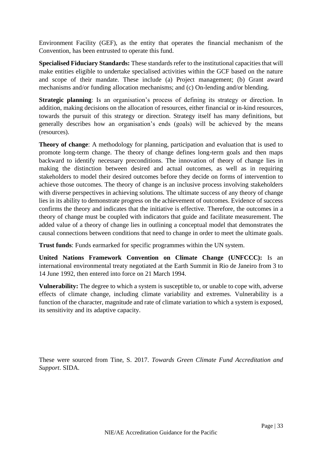Environment Facility (GEF), as the entity that operates the financial mechanism of the Convention, has been entrusted to operate this fund.

**Specialised Fiduciary Standards:** These standards refer to the institutional capacities that will make entities eligible to undertake specialised activities within the GCF based on the nature and scope of their mandate. These include (a) Project management; (b) Grant award mechanisms and/or funding allocation mechanisms; and (c) On-lending and/or blending.

**Strategic planning**: Is an organisation's process of defining its strategy or direction. In addition, making decisions on the allocation of resources, either financial or in-kind resources, towards the pursuit of this strategy or direction. Strategy itself has many definitions, but generally describes how an organisation's ends (goals) will be achieved by the means (resources).

**Theory of change**: A methodology for planning, participation and evaluation that is used to promote long-term change. The theory of change defines long-term goals and then maps backward to identify necessary preconditions. The innovation of theory of change lies in making the distinction between desired and actual outcomes, as well as in requiring stakeholders to model their desired outcomes before they decide on forms of intervention to achieve those outcomes. The theory of change is an inclusive process involving stakeholders with diverse perspectives in achieving solutions. The ultimate success of any theory of change lies in its ability to demonstrate progress on the achievement of outcomes. Evidence of success confirms the theory and indicates that the initiative is effective. Therefore, the outcomes in a theory of change must be coupled with indicators that guide and facilitate measurement. The added value of a theory of change lies in outlining a conceptual model that demonstrates the causal connections between conditions that need to change in order to meet the ultimate goals.

**Trust funds**: Funds earmarked for specific programmes within the UN system.

**United Nations Framework Convention on Climate Change (UNFCCC):** Is an international environmental treaty negotiated at the Earth Summit in Rio de Janeiro from 3 to 14 June 1992, then entered into force on 21 March 1994.

**Vulnerability:** The degree to which a system is susceptible to, or unable to cope with, adverse effects of climate change, including climate variability and extremes. Vulnerability is a function of the character, magnitude and rate of climate variation to which a system is exposed, its sensitivity and its adaptive capacity.

These were sourced from Tine, S. 2017. *Towards Green Climate Fund Accreditation and Support*. SIDA.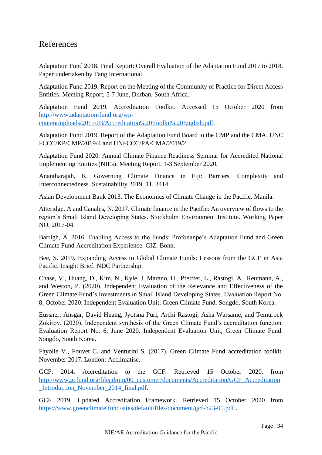## <span id="page-33-0"></span>References

Adaptation Fund 2018. Final Report: Overall Evaluation of the Adaptation Fund 2017 to 2018. Paper undertaken by Tang International.

Adaptation Fund 2019. Report on the Meeting of the Community of Practice for Direct Access Entities. Meeting Report, 5-7 June, Durban, South Africa.

Adaptation Fund 2019. Accreditation Toolkit. Accessed 15 October 2020 from [http://www.adaptation-fund.org/wp](http://www.adaptation-fund.org/wp-content/uploads/2015/03/Accreditation%20Toolkit%20English.pdf)[content/uploads/2015/03/Accreditation%20Toolkit%20English.pdf.](http://www.adaptation-fund.org/wp-content/uploads/2015/03/Accreditation%20Toolkit%20English.pdf)

Adaptation Fund 2019. Report of the Adaptation Fund Board to the CMP and the CMA. UNC FCCC/KP/CMP/2019/4 and UNFCCC/PA/CMA/2019/2.

Adaptation Fund 2020. Annual Climate Finance Readiness Seminar for Accredited National Implementing Entities (NIEs). Meeting Report. 1-3 September 2020.

Anantharajah, K. Governing Climate Finance in Fiji: Barriers, Complexity and Interconnectedness. Sustainability 2019, 11, 3414.

Asian Development Bank 2013. The Economics of Climate Change in the Pacific. Manila.

Atteridge, A and Canales, N. 2017. Climate finance in the Pacific: An overview of flows to the region's Small Island Developing States. Stockholm Environment Institute. Working Paper NO. 2017-04.

Barrigh, A. 2016. Enabling Access to the Funds: Profonanpe's Adaptation Fund and Green Climate Fund Accreditation Experience. GIZ. Bonn.

Bee, S. 2019. Expanding Access to Global Climate Funds: Lessons from the GCF in Asia Pacific. Insight Brief. NDC Partnership.

Chase, V., Huang, D., Kim, N., Kyle, J. Marano, H., Pfeiffer, L., Rastogi, A., Reumann, A., and Weston, P. (2020). Independent Evaluation of the Relevance and Effectiveness of the Green Climate Fund's Investments in Small Island Developing States. Evaluation Report No. 8, October 2020. Independent Evaluation Unit, Green Climate Fund. Songdo, South Korea.

Eussner, Ansgar, David Huang, Jyotsna Puri, Archi Rastogi, Asha Warsame, and Temurbek Zokirov. (2020). Independent synthesis of the Green Climate Fund's accreditation function. Evaluation Report No. 6, June 2020. Independent Evaluation Unit, Green Climate Fund. Songdo, South Korea.

Fayolle V., Fouvet C. and Venturini S. (2017). Green Climate Fund accreditation toolkit. November 2017. London: Acclimatise.

GCF. 2014. Accreditation to the GCF. Retrieved 15 October 2020, from [http://www.gcfund.org/fileadmin/00\\_customer/documents/Accreditation/GCF\\_Accreditation](http://www.gcfund.org/fileadmin/00_customer/documents/Accreditation/GCF_Accreditation_Introduction_November_2014_final.pdf) [\\_Introduction\\_November\\_2014\\_final.pdf.](http://www.gcfund.org/fileadmin/00_customer/documents/Accreditation/GCF_Accreditation_Introduction_November_2014_final.pdf)

GCF 2019. Updated Accreditation Framework. Retrieved 15 October 2020 from <https://www.greenclimate.fund/sites/default/files/document/gcf-b23-05.pdf> .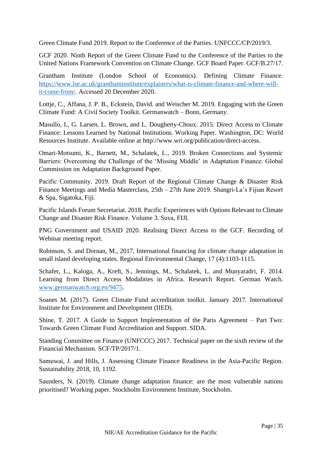Green Climate Fund 2019. Report to the Conference of the Parties. UNFCCC/CP/2019/3.

GCF 2020. Ninth Report of the Green Climate Fund to the Conference of the Parties to the United Nations Framework Convention on Climate Change. GCF Board Paper. GCF/B.27/17.

Grantham Institute (London School of Economics). Defining Climate Finance. [https://www.lse.ac.uk/granthaminstitute/explainers/what-is-climate-finance-and-where-will](https://www.lse.ac.uk/granthaminstitute/explainers/what-is-climate-finance-and-where-will-it-come-from/)[it-come-from/.](https://www.lse.ac.uk/granthaminstitute/explainers/what-is-climate-finance-and-where-will-it-come-from/) Accessed 20 December 2020.

Lottje, C., Affana, J. P. B., Eckstein, David. and Weischer M. 2019. Engaging with the Green Climate Fund: A Civil Society Toolkit. Germanwatch – Bonn, Germany.

Masullo, I., G. Larsen, L. Brown, and L. Dougherty-Choux. 2015. Direct Access to Climate Finance: Lessons Learned by National Institutions. Working Paper. Washington, DC: World Resources Institute. Available online at http://www.wri.org/publication/direct-access.

Omari-Motsumi, K., Barnett, M., Schalatek, L., 2019. Broken Connections and Systemic Barriers: Overcoming the Challenge of the 'Missing Middle' in Adaptation Finance. Global Commission on Adaptation Background Paper.

Pacific Community. 2019. Draft Report of the Regional Climate Change & Disaster Risk Finance Meetings and Media Masterclass, 25th – 27th June 2019. Shangri-La's Fijian Resort & Spa, Sigatoka, Fiji.

Pacific Islands Forum Secretariat. 2018. Pacific Experiences with Options Relevant to Climate Change and Disaster Risk Finance. Volume 3. Suva, FIJI.

PNG Government and USAID 2020. Realising Direct Access to the GCF. Recording of Webinar meeting report.

Robinson, S. and Dornan, M., 2017, International financing for climate change adaptation in small island developing states. Regional Environmental Change, 17 (4):1103-1115.

Schafer, L., Kaloga, A., Kreft, S., Jennings, M., Schalatek, L. and Munyaradri, F. 2014. Learning from Direct Access Modalities in Africa. Research Report. German Watch. [www.germanwatch.org.en/9475.](http://www.germanwatch.org.en/9475)

Soanes M. (2017). Green Climate Fund accreditation toolkit. January 2017. International Institute for Environment and Development (IIED).

Shine, T. 2017. A Guide to Support Implementation of the Paris Agreement – Part Two: Towards Green Climate Fund Accreditation and Support. SIDA.

Standing Committee on Finance (UNFCCC) 2017. Technical paper on the sixth review of the Financial Mechanism. SCF/TP/2017/1.

Samuwai, J. and Hills, J. Assessing Climate Finance Readiness in the Asia-Pacific Region. Sustainability 2018, 10, 1192.

Saunders, N. (2019). Climate change adaptation finance: are the most vulnerable nations prioritised? Working paper. Stockholm Environment Institute, Stockholm.